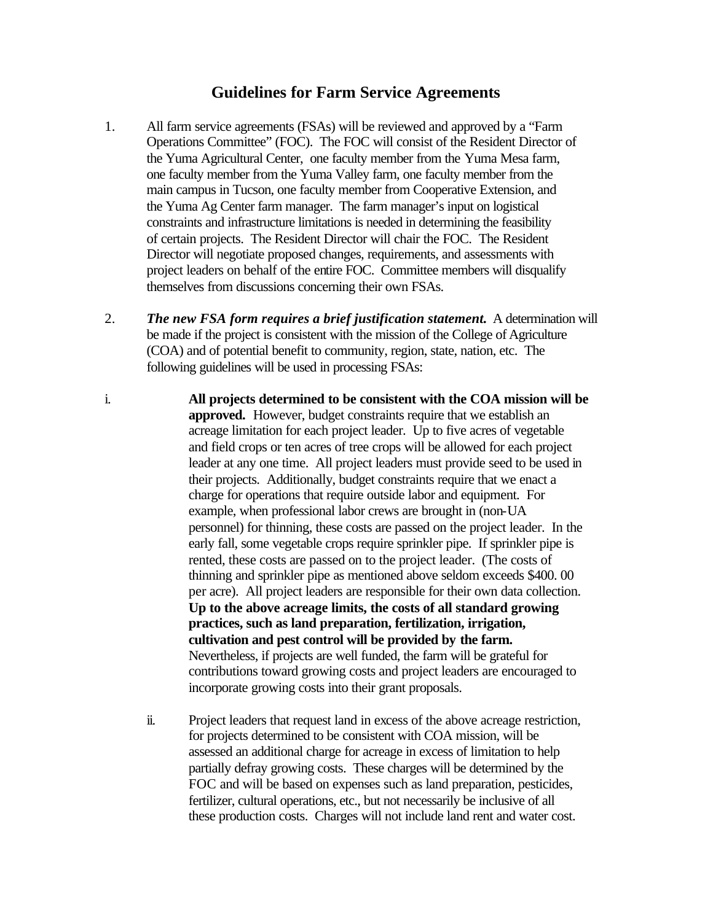## **Guidelines for Farm Service Agreements**

- 1. All farm service agreements (FSAs) will be reviewed and approved by a "Farm Operations Committee" (FOC). The FOC will consist of the Resident Director of the Yuma Agricultural Center, one faculty member from the Yuma Mesa farm, one faculty member from the Yuma Valley farm, one faculty member from the main campus in Tucson, one faculty member from Cooperative Extension, and the Yuma Ag Center farm manager. The farm manager's input on logistical constraints and infrastructure limitations is needed in determining the feasibility of certain projects. The Resident Director will chair the FOC. The Resident Director will negotiate proposed changes, requirements, and assessments with project leaders on behalf of the entire FOC. Committee members will disqualify themselves from discussions concerning their own FSAs.
- 2. *The new FSA form requires a brief justification statement.* A determination will be made if the project is consistent with the mission of the College of Agriculture (COA) and of potential benefit to community, region, state, nation, etc. The following guidelines will be used in processing FSAs:
- i. **All projects determined to be consistent with the COA mission will be approved.** However, budget constraints require that we establish an acreage limitation for each project leader. Up to five acres of vegetable and field crops or ten acres of tree crops will be allowed for each project leader at any one time. All project leaders must provide seed to be used in their projects. Additionally, budget constraints require that we enact a charge for operations that require outside labor and equipment. For example, when professional labor crews are brought in (non-UA personnel) for thinning, these costs are passed on the project leader. In the early fall, some vegetable crops require sprinkler pipe. If sprinkler pipe is rented, these costs are passed on to the project leader. (The costs of thinning and sprinkler pipe as mentioned above seldom exceeds \$400. 00 per acre). All project leaders are responsible for their own data collection. **Up to the above acreage limits, the costs of all standard growing practices, such as land preparation, fertilization, irrigation, cultivation and pest control will be provided by the farm.**  Nevertheless, if projects are well funded, the farm will be grateful for contributions toward growing costs and project leaders are encouraged to incorporate growing costs into their grant proposals.
	- ii. Project leaders that request land in excess of the above acreage restriction, for projects determined to be consistent with COA mission, will be assessed an additional charge for acreage in excess of limitation to help partially defray growing costs. These charges will be determined by the FOC and will be based on expenses such as land preparation, pesticides, fertilizer, cultural operations, etc., but not necessarily be inclusive of all these production costs. Charges will not include land rent and water cost.